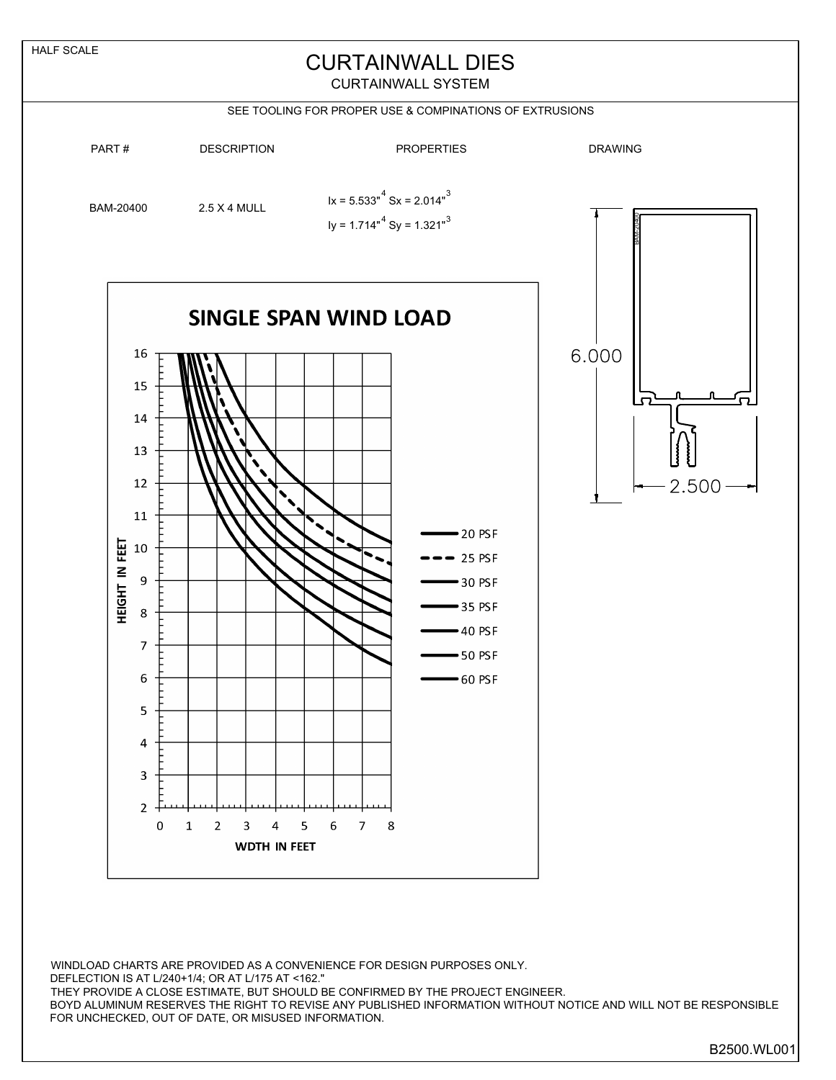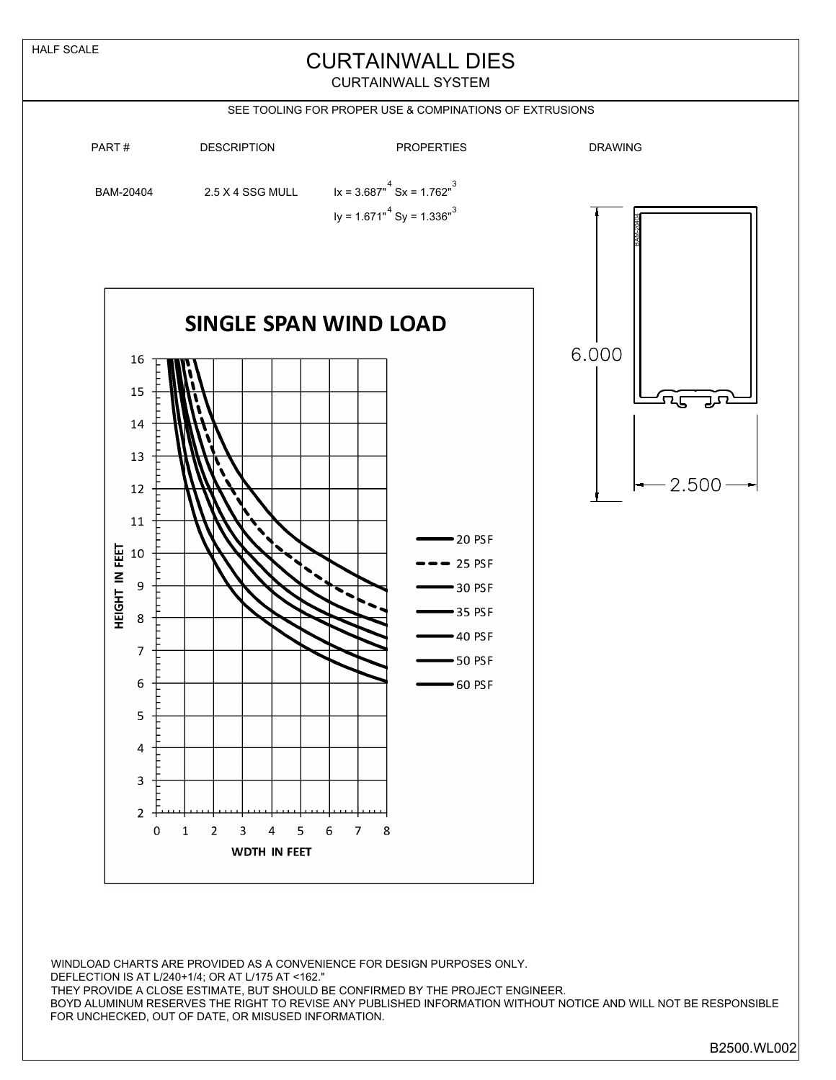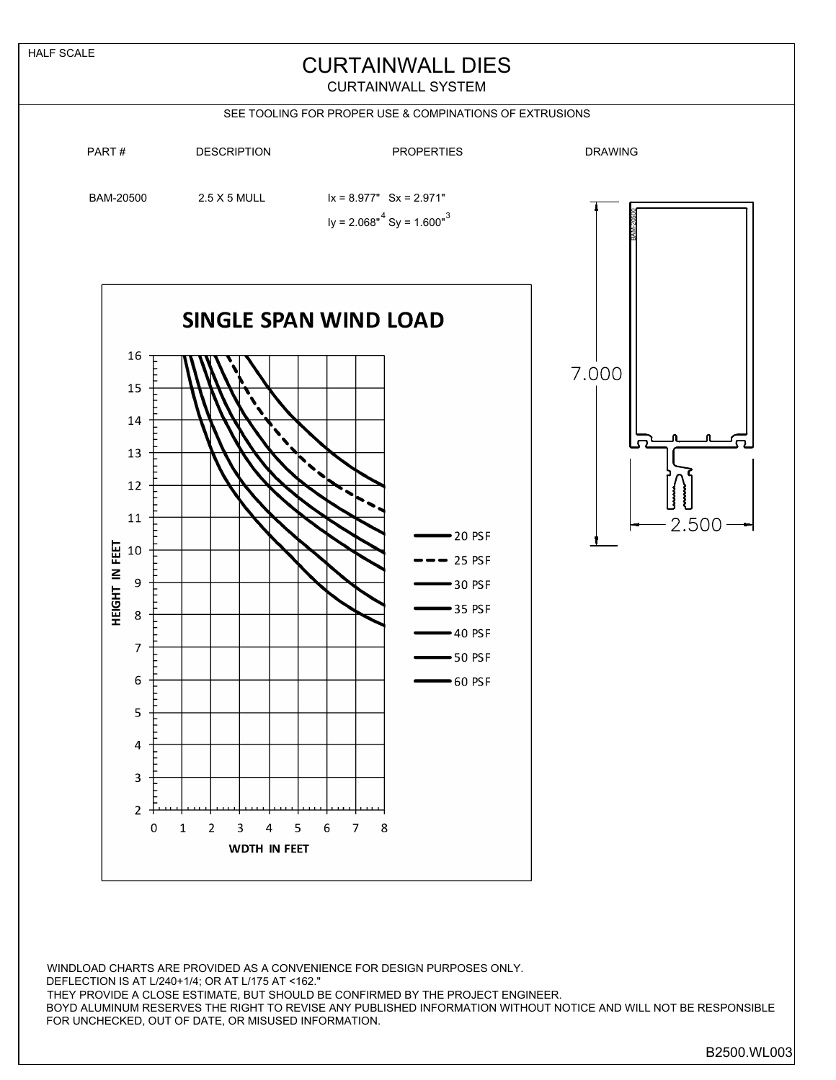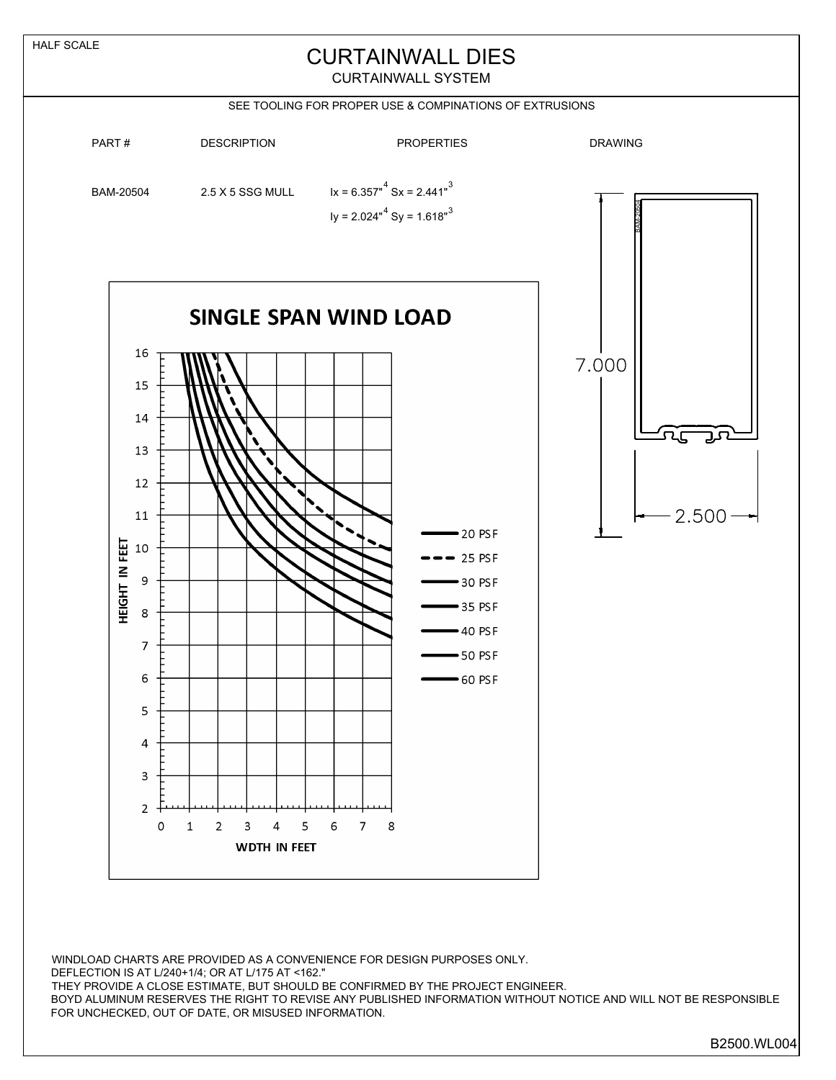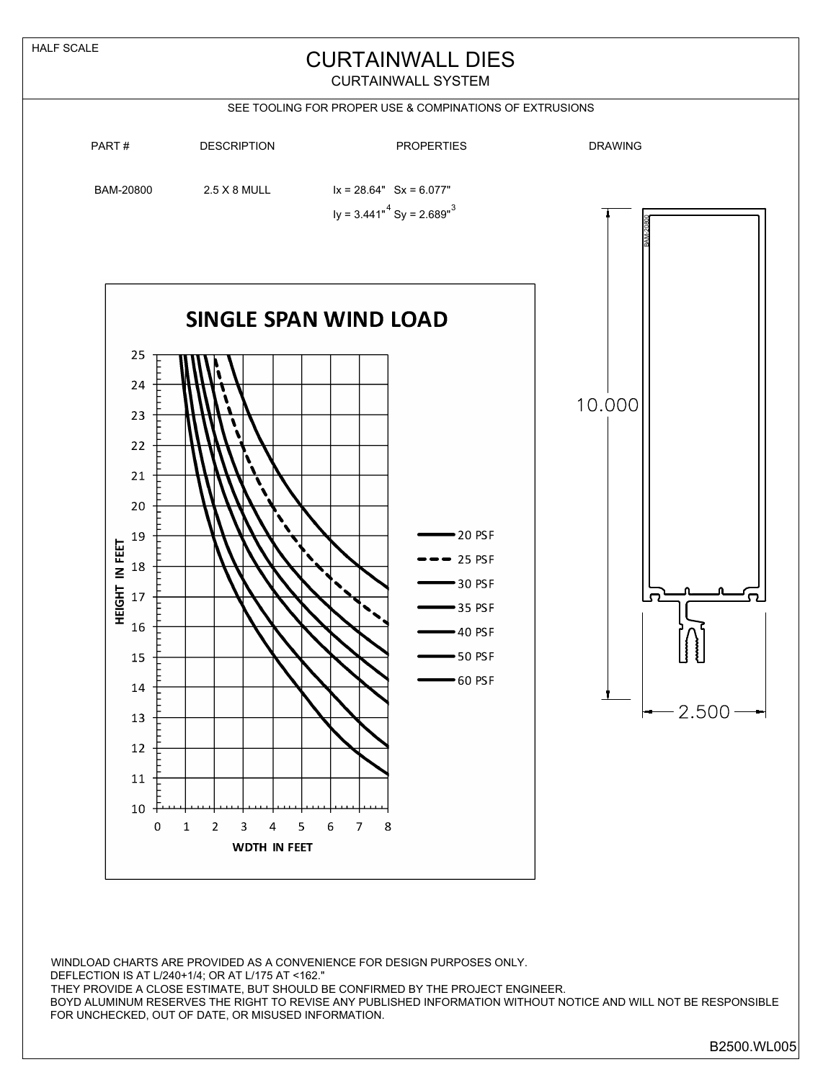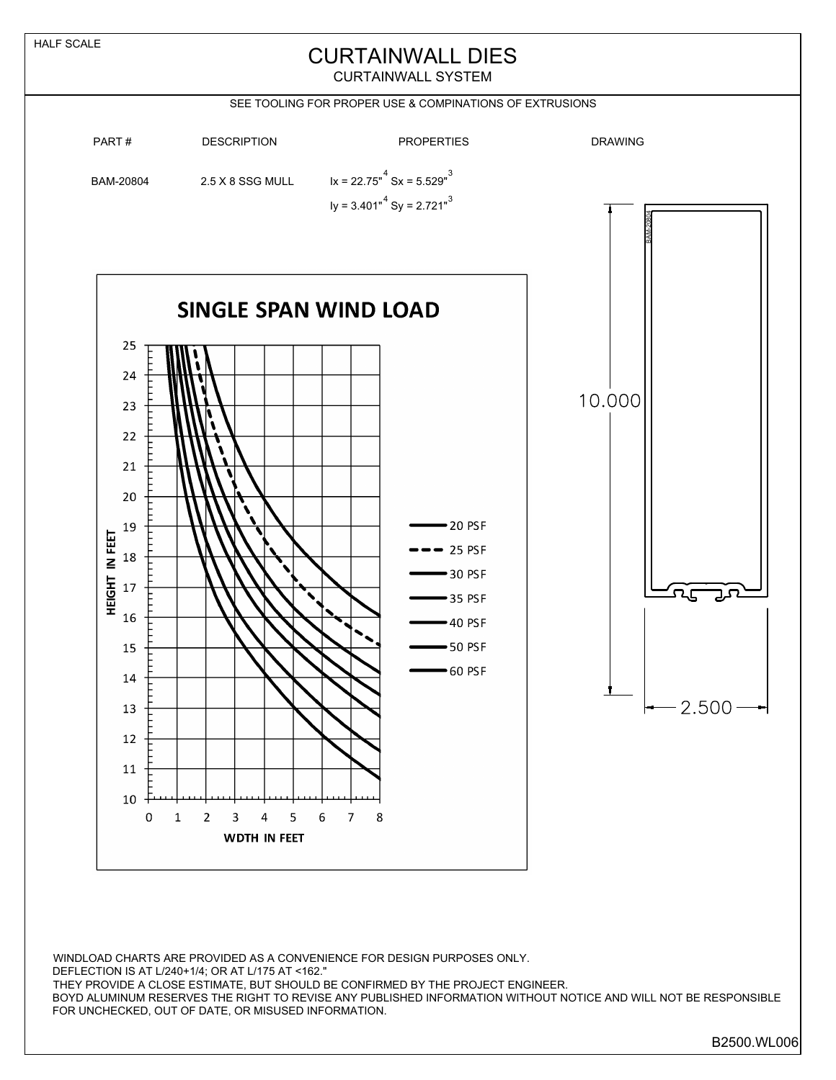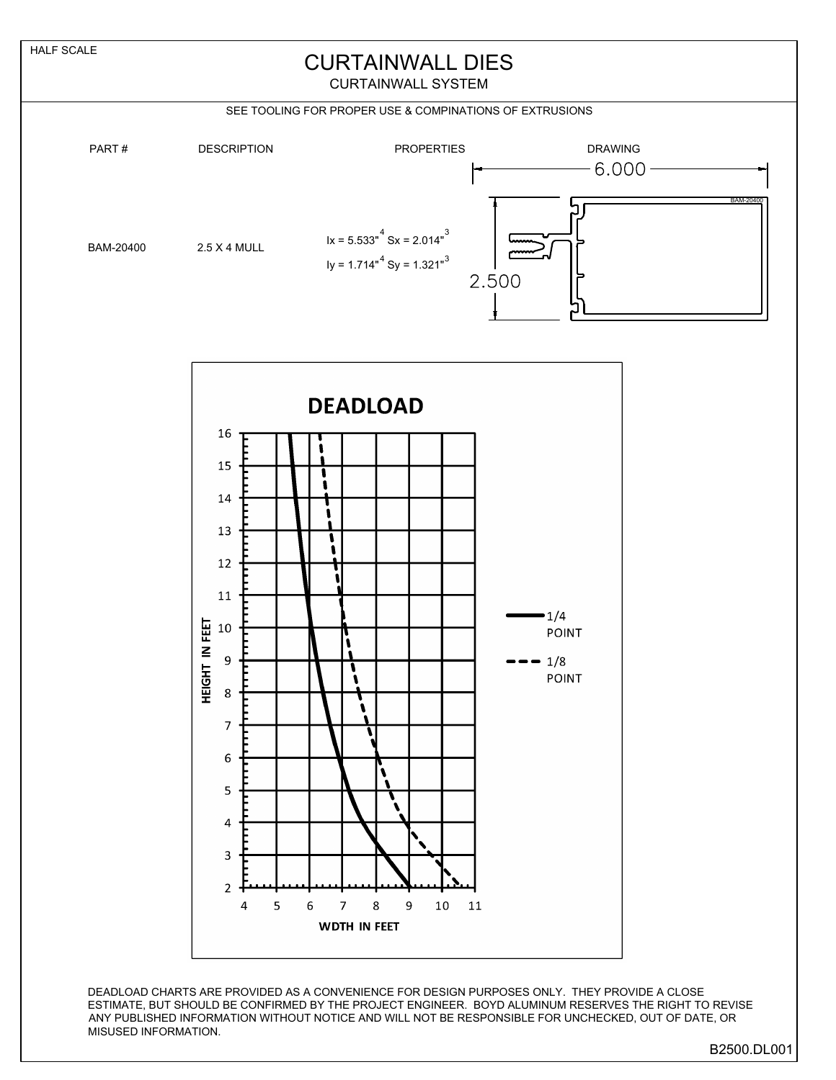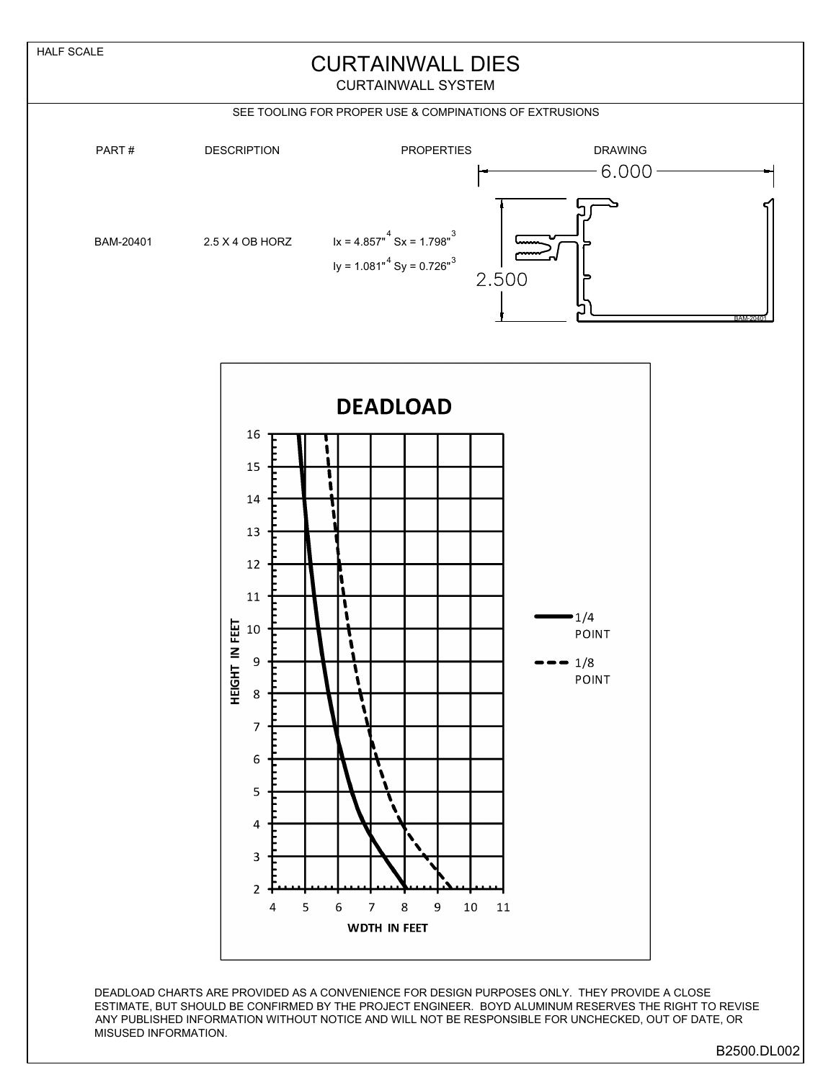

B2500.DL002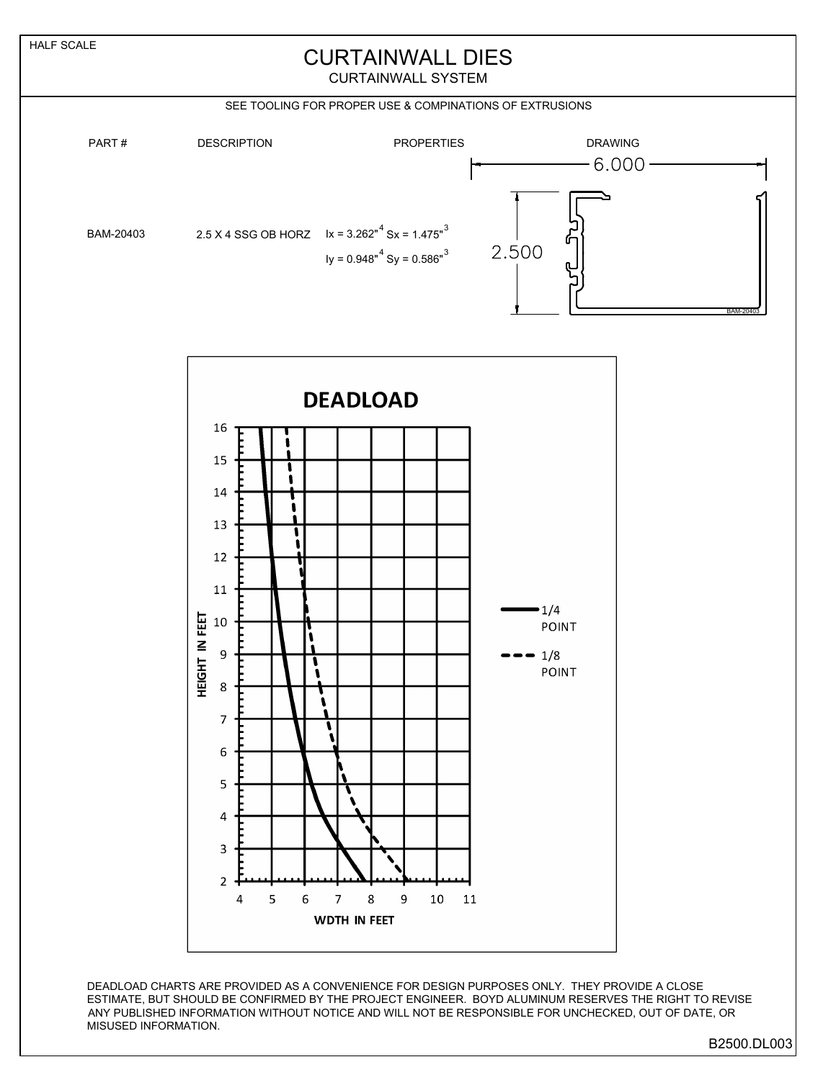

## CURTAINWALL DIES

CURTAINWALL SYSTEM

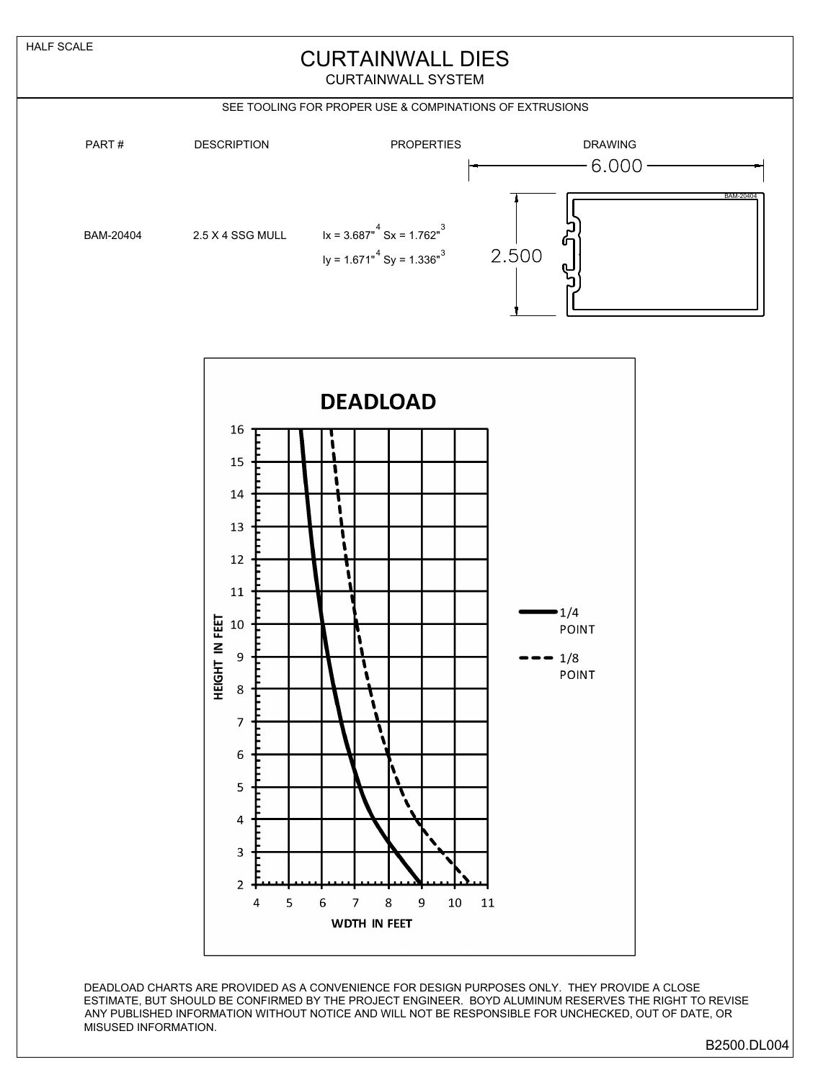## CURTAINWALL DIES

CURTAINWALL SYSTEM

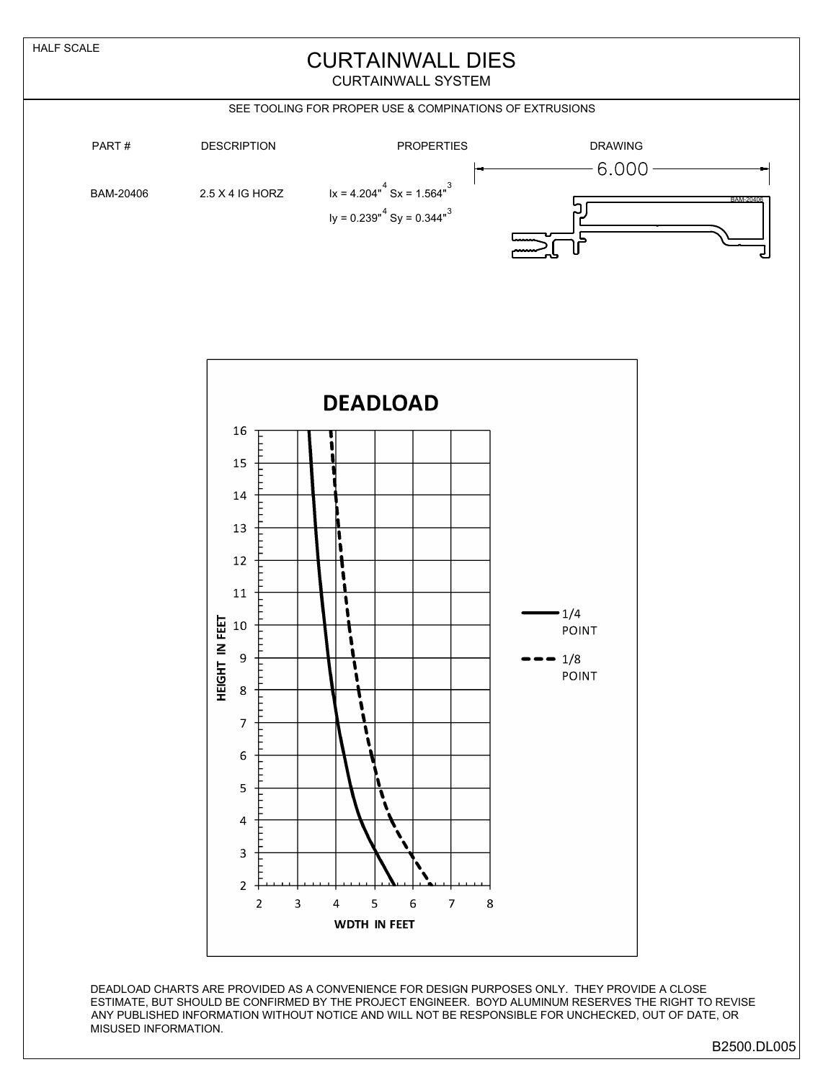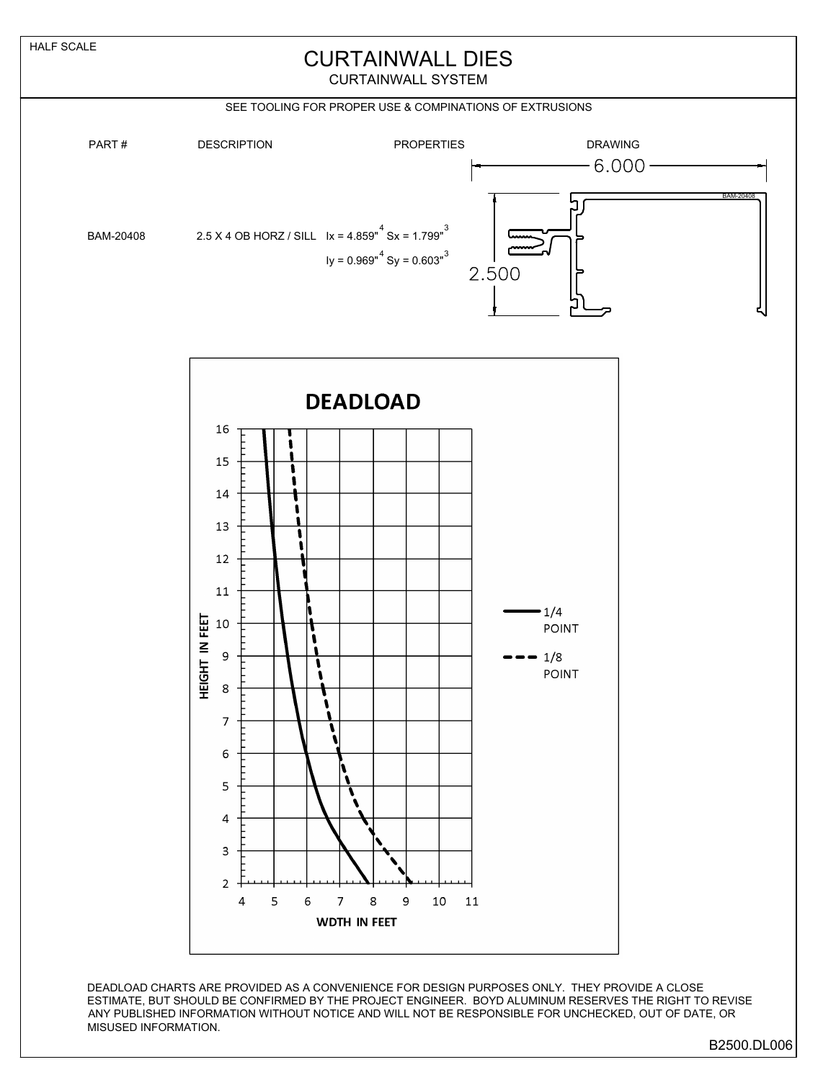

## CURTAINWALL DIES

CURTAINWALL SYSTEM

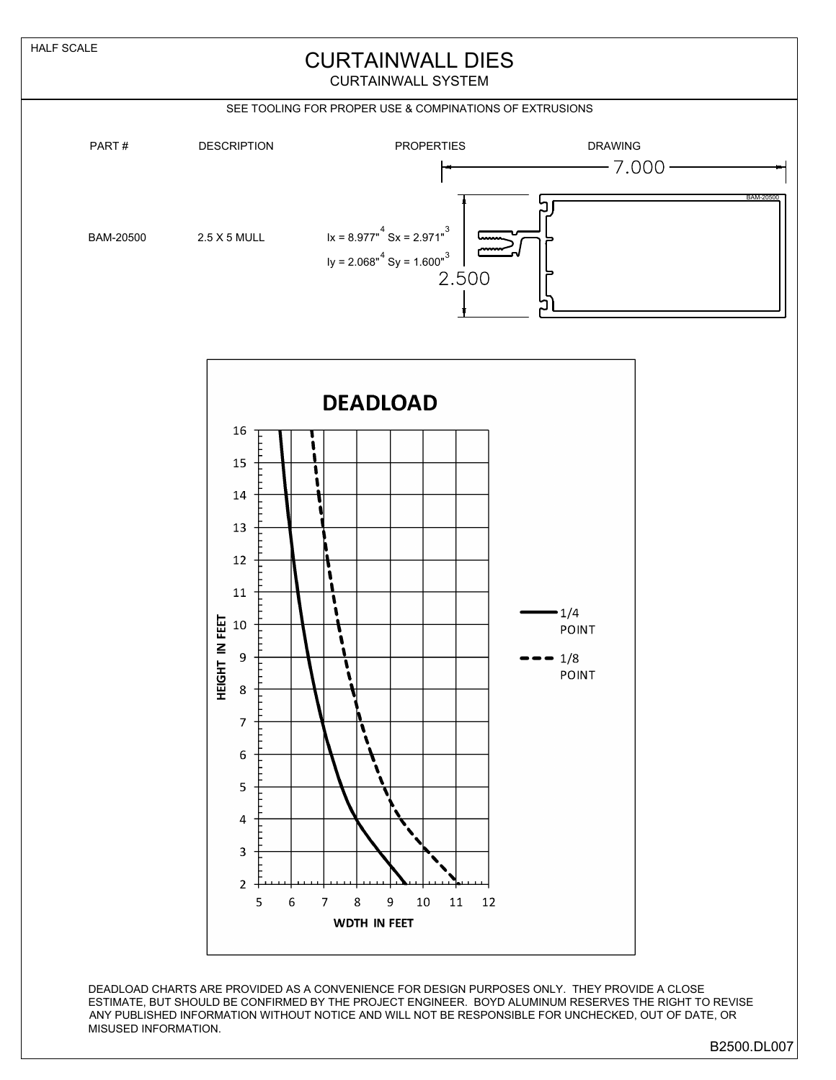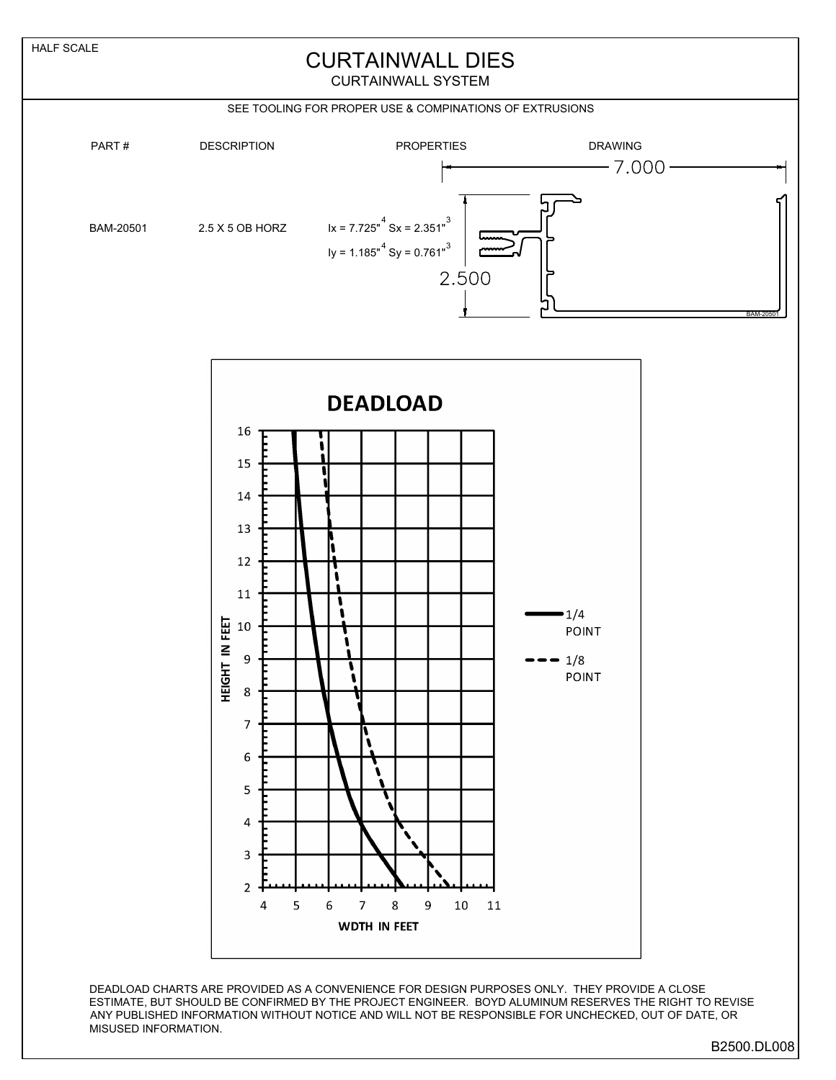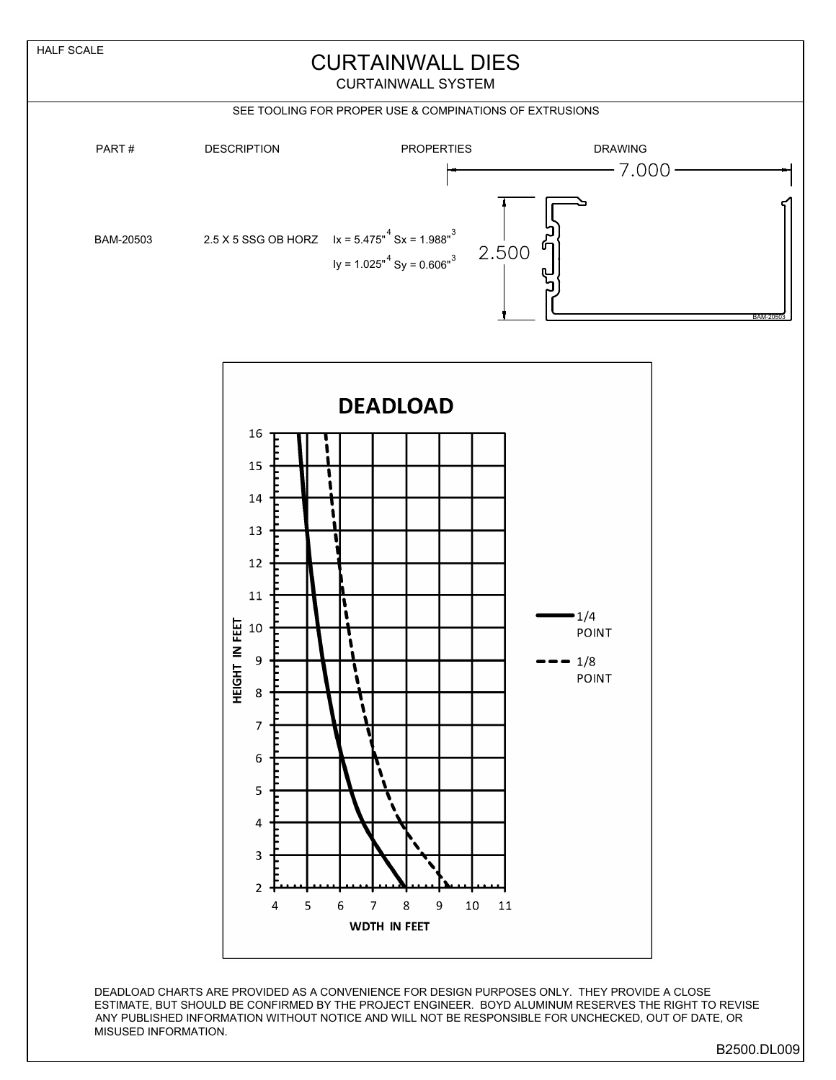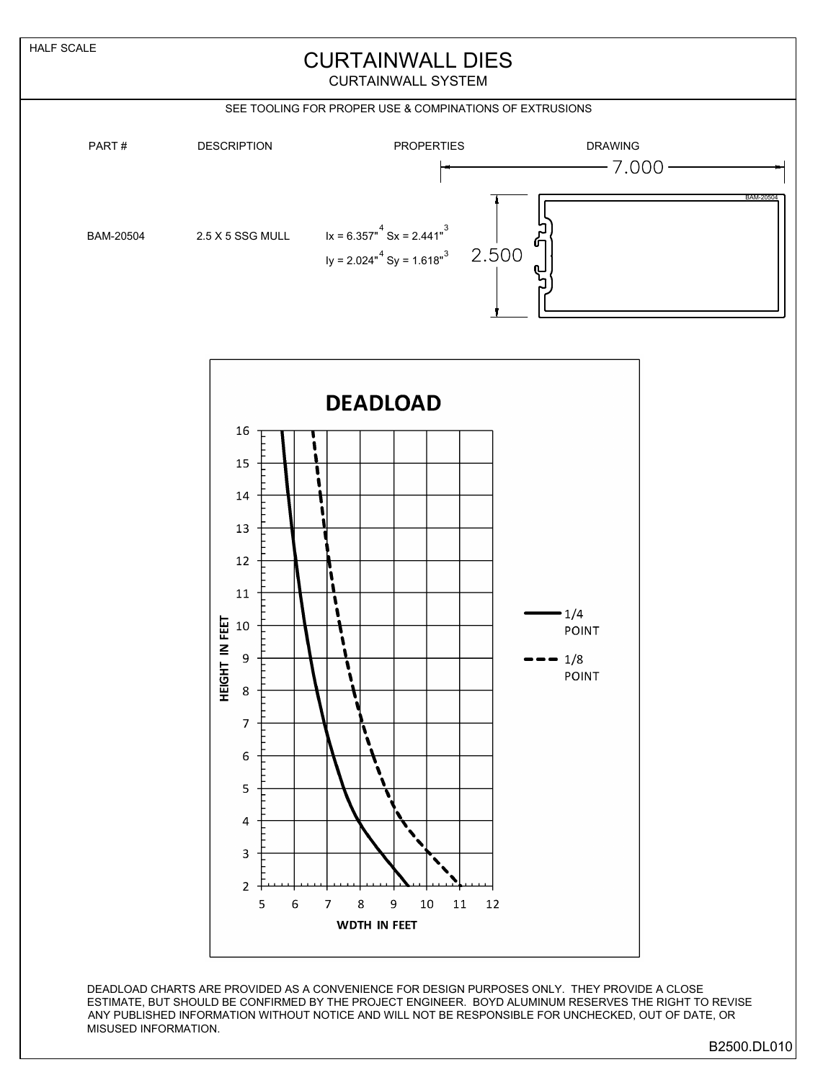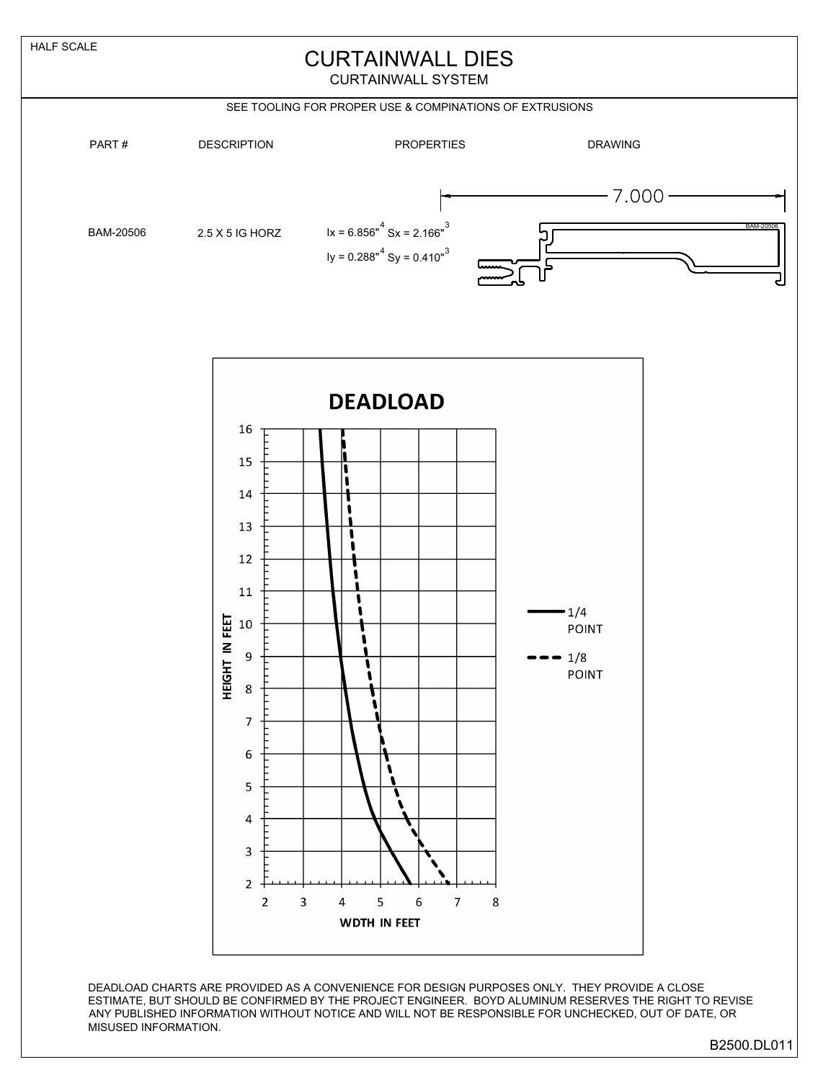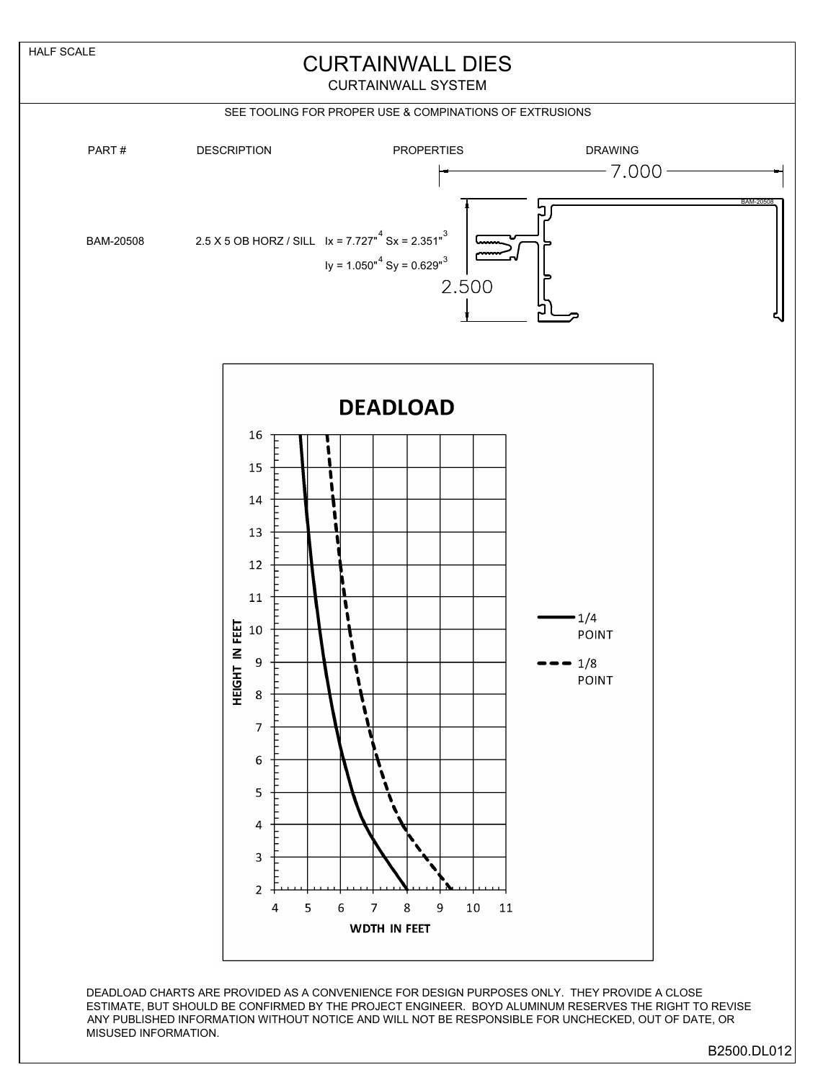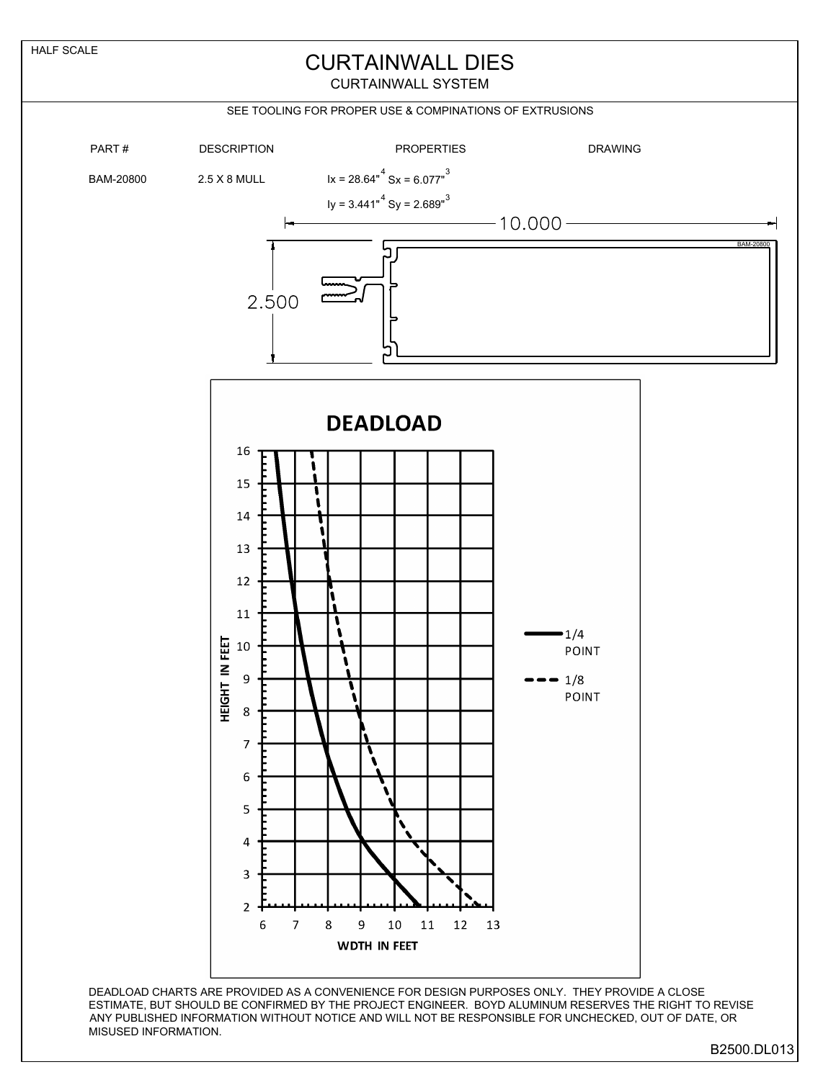

B2500.DL013